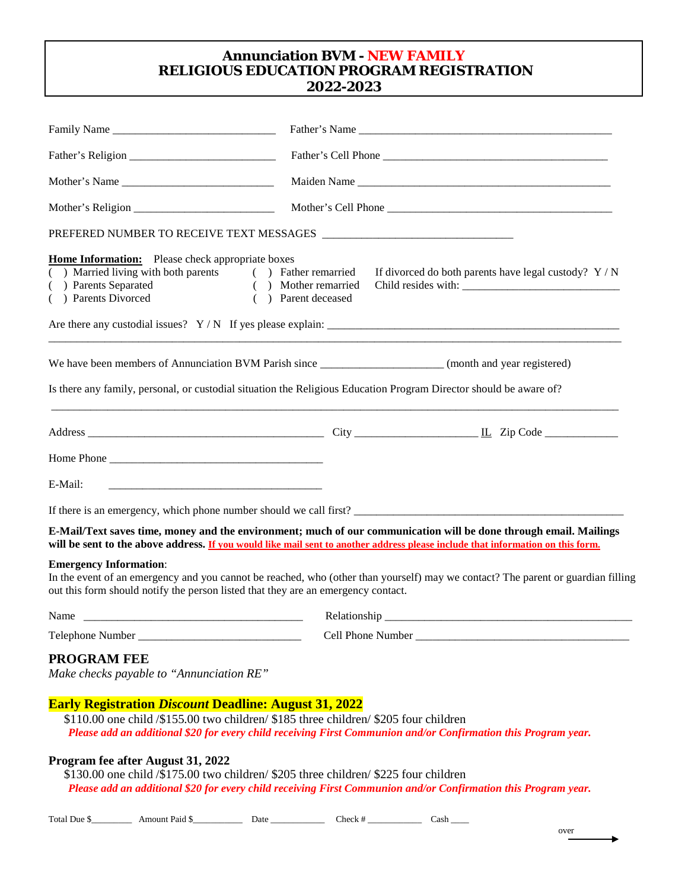### **Annunciation BVM - NEW FAMILY RELIGIOUS EDUCATION PROGRAM REGISTRATION 2022-2023**

|                                                                                                                                                                                                                                        | Father's Name                                                                                                                                                                                                                                               |  |  |  |  |
|----------------------------------------------------------------------------------------------------------------------------------------------------------------------------------------------------------------------------------------|-------------------------------------------------------------------------------------------------------------------------------------------------------------------------------------------------------------------------------------------------------------|--|--|--|--|
|                                                                                                                                                                                                                                        |                                                                                                                                                                                                                                                             |  |  |  |  |
|                                                                                                                                                                                                                                        | Maiden Name                                                                                                                                                                                                                                                 |  |  |  |  |
|                                                                                                                                                                                                                                        |                                                                                                                                                                                                                                                             |  |  |  |  |
|                                                                                                                                                                                                                                        |                                                                                                                                                                                                                                                             |  |  |  |  |
| <b>Home Information:</b> Please check appropriate boxes<br>( ) Married living with both parents ( ) Father remarried<br>(a) Parents Separated (b) Mother remarried<br>(c) Parents Divorced (c) Parent deceased<br>( ) Parents Divorced | If divorced do both parents have legal custody? $Y/N$<br>( ) Parent deceased                                                                                                                                                                                |  |  |  |  |
|                                                                                                                                                                                                                                        | We have been members of Annunciation BVM Parish since _______________________(month and year registered)<br>Is there any family, personal, or custodial situation the Religious Education Program Director should be aware of?                              |  |  |  |  |
|                                                                                                                                                                                                                                        |                                                                                                                                                                                                                                                             |  |  |  |  |
|                                                                                                                                                                                                                                        |                                                                                                                                                                                                                                                             |  |  |  |  |
|                                                                                                                                                                                                                                        |                                                                                                                                                                                                                                                             |  |  |  |  |
| E-Mail:                                                                                                                                                                                                                                |                                                                                                                                                                                                                                                             |  |  |  |  |
|                                                                                                                                                                                                                                        |                                                                                                                                                                                                                                                             |  |  |  |  |
|                                                                                                                                                                                                                                        | E-Mail/Text saves time, money and the environment; much of our communication will be done through email. Mailings<br>will be sent to the above address. <u>If you would like mail sent to another address please include that information on this form.</u> |  |  |  |  |
| <b>Emergency Information:</b><br>out this form should notify the person listed that they are an emergency contact.                                                                                                                     | In the event of an emergency and you cannot be reached, who (other than yourself) may we contact? The parent or guardian filling                                                                                                                            |  |  |  |  |
| Name                                                                                                                                                                                                                                   | Relationship _                                                                                                                                                                                                                                              |  |  |  |  |
|                                                                                                                                                                                                                                        |                                                                                                                                                                                                                                                             |  |  |  |  |
| PROGRAM FEE<br>Make checks payable to "Annunciation RE"                                                                                                                                                                                |                                                                                                                                                                                                                                                             |  |  |  |  |
| <b>Early Registration Discount Deadline: August 31, 2022</b>                                                                                                                                                                           | \$110.00 one child /\$155.00 two children/ \$185 three children/ \$205 four children<br>Please add an additional \$20 for every child receiving First Communion and/or Confirmation this Program year.                                                      |  |  |  |  |
| Program fee after August 31, 2022<br>\$130.00 one child /\$175.00 two children/ \$205 three children/ \$225 four children                                                                                                              | Please add an additional \$20 for every child receiving First Communion and/or Confirmation this Program year.                                                                                                                                              |  |  |  |  |

Total Due \$\_\_\_\_\_\_\_\_\_\_\_\_\_ Amount Paid \$\_\_\_\_\_\_\_\_\_\_\_\_\_\_\_\_ Date \_\_\_\_\_\_\_\_\_\_\_\_\_\_\_\_\_\_\_\_ Check # \_\_\_\_\_\_\_\_\_\_\_\_\_\_\_\_ Cash \_\_\_\_\_

over  $\rightarrow$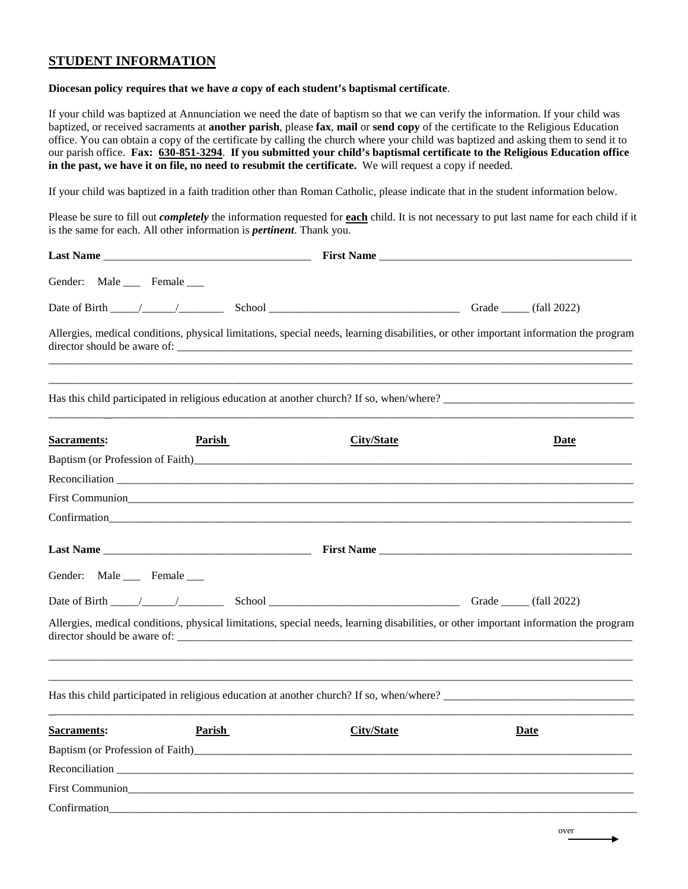# **STUDENT INFORMATION**

#### **Diocesan policy requires that we have** *a* **copy of each student's baptismal certificate**.

If your child was baptized at Annunciation we need the date of baptism so that we can verify the information. If your child was baptized, or received sacraments at **another parish**, please **fax**, **mail** or **send copy** of the certificate to the Religious Education office. You can obtain a copy of the certificate by calling the church where your child was baptized and asking them to send it to our parish office. **Fax: 630-851-3294**. **If you submitted your child's baptismal certificate to the Religious Education office in the past, we have it on file, no need to resubmit the certificate.** We will request a copy if needed.

If your child was baptized in a faith tradition other than Roman Catholic, please indicate that in the student information below.

Please be sure to fill out *completely* the information requested for **each** child. It is not necessary to put last name for each child if it is the same for each. All other information is *pertinent*. Thank you.

| Gender: Male ___ Female ___        |                                                                                                                                                                                                                                |                   |             |
|------------------------------------|--------------------------------------------------------------------------------------------------------------------------------------------------------------------------------------------------------------------------------|-------------------|-------------|
| Date of Birth $\frac{\sqrt{2}}{2}$ |                                                                                                                                                                                                                                |                   |             |
|                                    | Allergies, medical conditions, physical limitations, special needs, learning disabilities, or other important information the program                                                                                          |                   |             |
|                                    |                                                                                                                                                                                                                                |                   |             |
| <b>Sacraments:</b>                 | <b>Parish</b>                                                                                                                                                                                                                  | <b>City/State</b> | Date        |
|                                    |                                                                                                                                                                                                                                |                   |             |
|                                    |                                                                                                                                                                                                                                |                   |             |
|                                    |                                                                                                                                                                                                                                |                   |             |
|                                    | Confirmation to the contract of the contract of the contract of the contract of the contract of the contract of the contract of the contract of the contract of the contract of the contract of the contract of the contract o |                   |             |
|                                    |                                                                                                                                                                                                                                |                   |             |
| Gender: Male __ Female __          |                                                                                                                                                                                                                                |                   |             |
|                                    |                                                                                                                                                                                                                                |                   |             |
|                                    | Allergies, medical conditions, physical limitations, special needs, learning disabilities, or other important information the program                                                                                          |                   |             |
|                                    | Has this child participated in religious education at another church? If so, when/where?                                                                                                                                       |                   |             |
| <b>Sacraments:</b>                 | <b>Parish</b>                                                                                                                                                                                                                  | <b>City/State</b> | <u>Date</u> |
|                                    |                                                                                                                                                                                                                                |                   |             |
|                                    |                                                                                                                                                                                                                                |                   |             |
|                                    |                                                                                                                                                                                                                                |                   |             |
|                                    |                                                                                                                                                                                                                                |                   |             |

over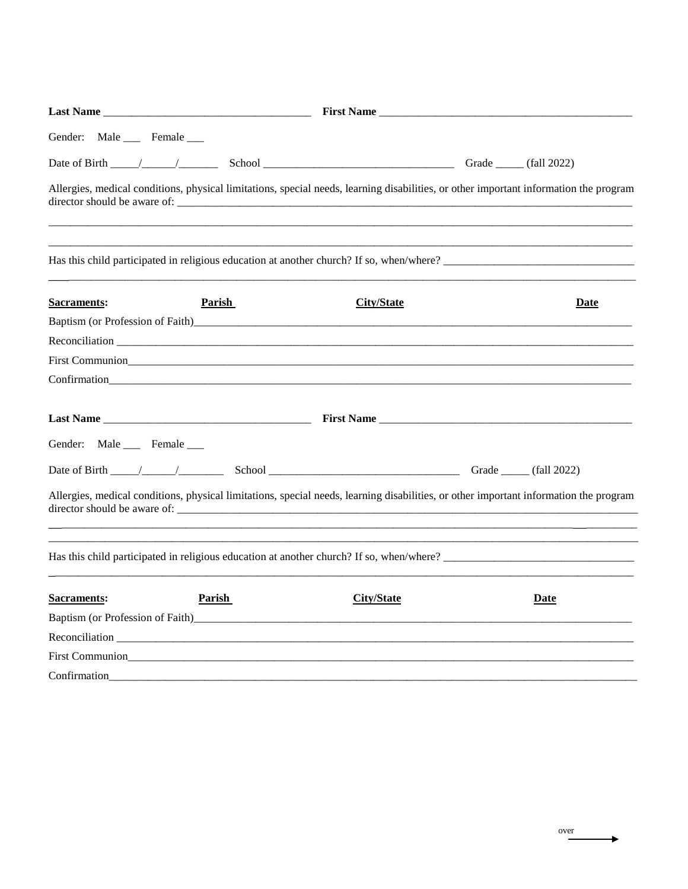|                              | Last Name                                                                                                                                                                                                                      |                   |      |
|------------------------------|--------------------------------------------------------------------------------------------------------------------------------------------------------------------------------------------------------------------------------|-------------------|------|
| Gender: Male ____ Female ___ |                                                                                                                                                                                                                                |                   |      |
|                              |                                                                                                                                                                                                                                |                   |      |
|                              | Allergies, medical conditions, physical limitations, special needs, learning disabilities, or other important information the program                                                                                          |                   |      |
|                              | Has this child participated in religious education at another church? If so, when/where?                                                                                                                                       |                   |      |
| <b>Sacraments:</b>           | Parish                                                                                                                                                                                                                         | <b>City/State</b> | Date |
|                              |                                                                                                                                                                                                                                |                   |      |
|                              |                                                                                                                                                                                                                                |                   |      |
|                              |                                                                                                                                                                                                                                |                   |      |
|                              |                                                                                                                                                                                                                                |                   |      |
|                              |                                                                                                                                                                                                                                |                   |      |
| Gender: Male Female          |                                                                                                                                                                                                                                |                   |      |
|                              |                                                                                                                                                                                                                                |                   |      |
|                              | Allergies, medical conditions, physical limitations, special needs, learning disabilities, or other important information the program                                                                                          |                   |      |
|                              | Has this child participated in religious education at another church? If so, when/where?                                                                                                                                       |                   |      |
| <b>Sacraments:</b>           | Parish                                                                                                                                                                                                                         | <b>City/State</b> | Date |
|                              | Baptism (or Profession of Faith) and the contract of the contract of the contract of the contract of Faith)                                                                                                                    |                   |      |
|                              | Reconciliation                                                                                                                                                                                                                 |                   |      |
|                              | First Communion                                                                                                                                                                                                                |                   |      |
|                              | Confirmation Construction Construction Construction Construction Construction Construction Construction Construction Construction Construction Construction Construction Construction Construction Construction Construction C |                   |      |

over

 $\rightarrow$